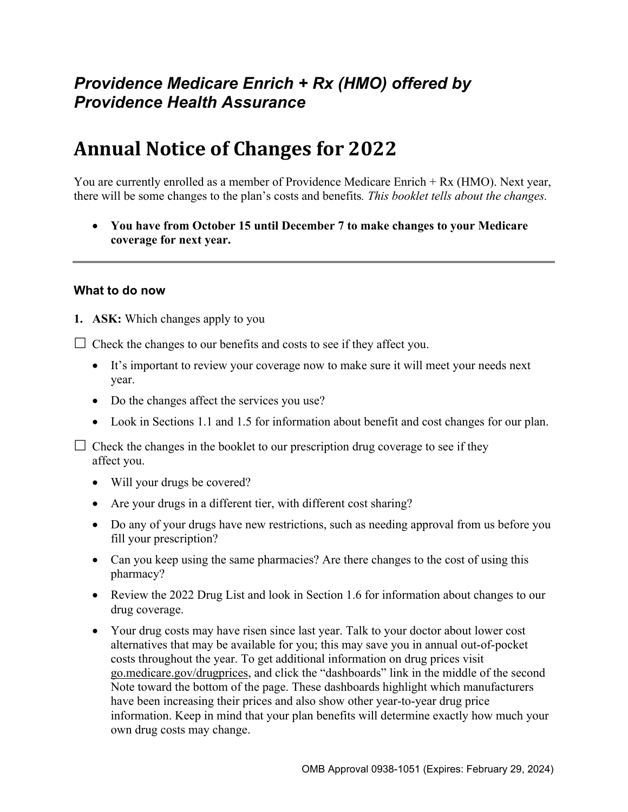# *Providence Medicare Enrich + Rx (HMO) offered by Providence Health Assurance*

# **Annual Notice of Changes for 2022**

You are currently enrolled as a member of Providence Medicare Enrich + Rx (HMO). Next year, there will be some changes to the plan's costs and benefits*. This booklet tells about the changes.* 

 **You have from October 15 until December 7 to make changes to your Medicare coverage for next year.** 

#### **What to do now**

**1. ASK:** Which changes apply to you

 $\Box$  Check the changes to our benefits and costs to see if they affect you.

- It's important to review your coverage now to make sure it will meet your needs next year.
- Do the changes affect the services you use?
- Look in Sections 1.1 and 1.5 for information about benefit and cost changes for our plan.

 $\Box$  Check the changes in the booklet to our prescription drug coverage to see if they affect you.

- Will your drugs be covered?
- Are your drugs in a different tier, with different cost sharing?
- Do any of your drugs have new restrictions, such as needing approval from us before you fill your prescription?
- Can you keep using the same pharmacies? Are there changes to the cost of using this pharmacy?
- Review the 2022 Drug List and look in Section 1.6 for information about changes to our drug coverage.
- Your drug costs may have risen since last year. Talk to your doctor about lower cost alternatives that may be available for you; this may save you in annual out-of-pocket costs throughout the year. To get additional information on drug prices visit [go.medicare.gov/drugprices,](https://go.medicare.gov/drugprices) and click the "dashboards" link in the middle of the second Note toward the bottom of the page. These dashboards highlight which manufacturers have been increasing their prices and also show other year-to-year drug price information. Keep in mind that your plan benefits will determine exactly how much your own drug costs may change.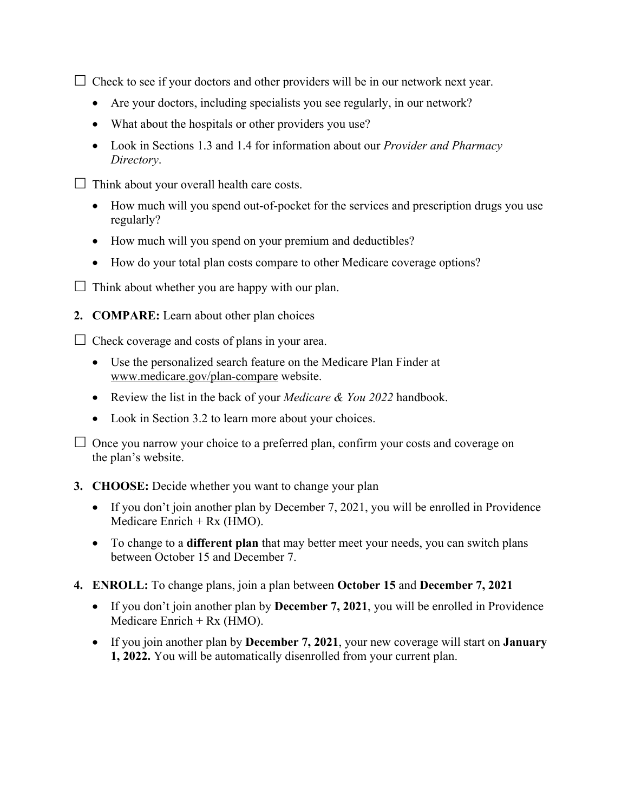$\Box$  Check to see if your doctors and other providers will be in our network next year.

- Are your doctors, including specialists you see regularly, in our network?
- What about the hospitals or other providers you use?
- Look in Sections 1.3 and 1.4 for information about our *Provider and Pharmacy Directory*.
- $\Box$  Think about your overall health care costs.
	- How much will you spend out-of-pocket for the services and prescription drugs you use regularly?
	- How much will you spend on your premium and deductibles?
	- How do your total plan costs compare to other Medicare coverage options?
- $\Box$  Think about whether you are happy with our plan.
- **2. COMPARE:** Learn about other plan choices

 $\Box$  Check coverage and costs of plans in your area.

- Use the personalized search feature on the Medicare Plan Finder at [www.medicare.gov/plan-compare](http://www.medicare.gov/plan-compare) website.
- Review the list in the back of your *Medicare & You 2022* handbook.
- Look in Section 3.2 to learn more about your choices.

 $\Box$  Once you narrow your choice to a preferred plan, confirm your costs and coverage on the plan's website.

#### **3. CHOOSE:** Decide whether you want to change your plan

- If you don't join another plan by December 7, 2021, you will be enrolled in Providence Medicare Enrich  $+$  Rx (HMO).
- To change to a **different plan** that may better meet your needs, you can switch plans between October 15 and December 7.
- **4. ENROLL:** To change plans, join a plan between **October 15** and **December 7, 2021** 
	- If you don't join another plan by **December 7, 2021**, you will be enrolled in Providence Medicare Enrich  $+$  Rx (HMO).
	- If you join another plan by **December 7, 2021**, your new coverage will start on **January 1, 2022.** You will be automatically disenrolled from your current plan.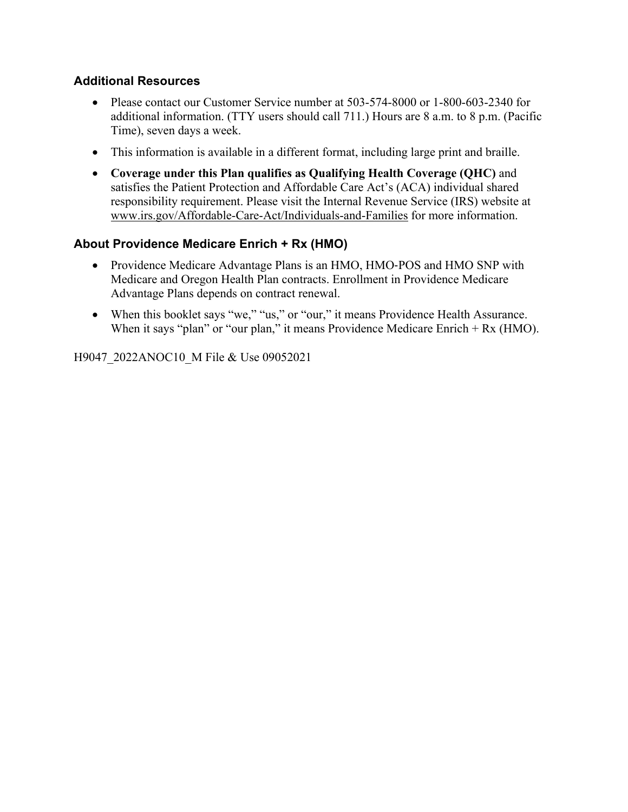### **Additional Resources**

- Please contact our Customer Service number at 503-574-8000 or 1-800-603-2340 for additional information. (TTY users should call 711.) Hours are 8 a.m. to 8 p.m. (Pacific Time), seven days a week.
- This information is available in a different format, including large print and braille.
- **Coverage under this Plan qualifies as Qualifying Health Coverage (QHC)** and satisfies the Patient Protection and Affordable Care Act's (ACA) individual shared responsibility requirement. Please visit the Internal Revenue Service (IRS) website at [www.irs.gov/Affordable-Care-Act/Individuals-and-Families](http://www.irs.gov/Affordable-Care-Act/Individuals-and-Families) for more information.

### **About Providence Medicare Enrich + Rx (HMO)**

- Providence Medicare Advantage Plans is an HMO, HMO-POS and HMO SNP with Medicare and Oregon Health Plan contracts. Enrollment in Providence Medicare Advantage Plans depends on contract renewal.
- When this booklet says "we," "us," or "our," it means Providence Health Assurance. When it says "plan" or "our plan," it means Providence Medicare Enrich + Rx (HMO).

H9047\_2022ANOC10\_M File & Use 09052021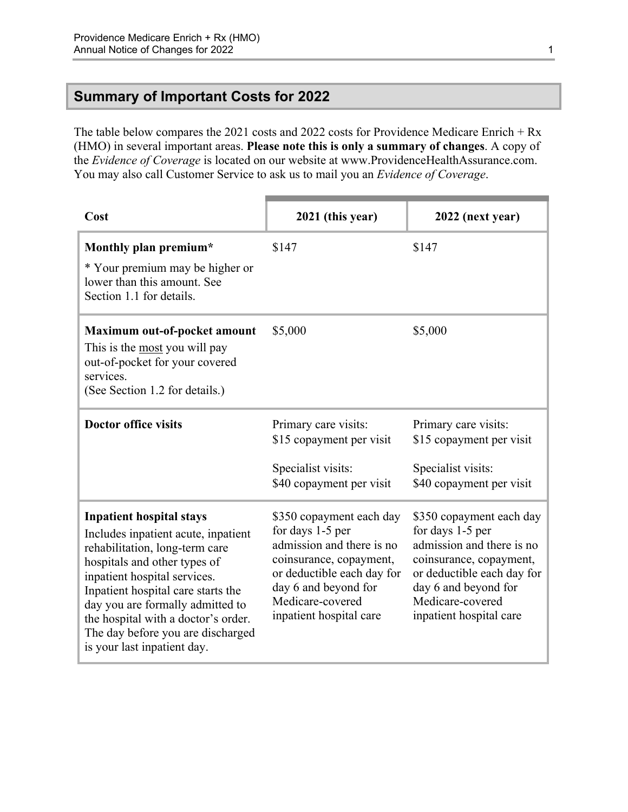### <span id="page-3-0"></span>**Summary of Important Costs for 2022**

The table below compares the 2021 costs and 2022 costs for Providence Medicare Enrich + Rx (HMO) in several important areas. **Please note this is only a summary of changes**. A copy of the *Evidence of Coverage* is located on our website at [www.ProvidenceHealthAssurance.com.](http://www.ProvidenceHealthAssurance.com)  You may also call Customer Service to ask us to mail you an *Evidence of Coverage*.

| Cost                                                                                                                                                                                                                                                                                                                                                          | 2021 (this year)                                                                                                                                                                                          | 2022 (next year)                                                                                                                                                                                          |
|---------------------------------------------------------------------------------------------------------------------------------------------------------------------------------------------------------------------------------------------------------------------------------------------------------------------------------------------------------------|-----------------------------------------------------------------------------------------------------------------------------------------------------------------------------------------------------------|-----------------------------------------------------------------------------------------------------------------------------------------------------------------------------------------------------------|
| Monthly plan premium*<br>* Your premium may be higher or<br>lower than this amount. See<br>Section 1.1 for details.                                                                                                                                                                                                                                           | \$147                                                                                                                                                                                                     | \$147                                                                                                                                                                                                     |
| Maximum out-of-pocket amount<br>This is the most you will pay<br>out-of-pocket for your covered<br>services.<br>(See Section 1.2 for details.)                                                                                                                                                                                                                | \$5,000                                                                                                                                                                                                   | \$5,000                                                                                                                                                                                                   |
| <b>Doctor office visits</b>                                                                                                                                                                                                                                                                                                                                   | Primary care visits:<br>\$15 copayment per visit<br>Specialist visits:<br>\$40 copayment per visit                                                                                                        | Primary care visits:<br>\$15 copayment per visit<br>Specialist visits:<br>\$40 copayment per visit                                                                                                        |
| <b>Inpatient hospital stays</b><br>Includes inpatient acute, inpatient<br>rehabilitation, long-term care<br>hospitals and other types of<br>inpatient hospital services.<br>Inpatient hospital care starts the<br>day you are formally admitted to<br>the hospital with a doctor's order.<br>The day before you are discharged<br>is your last inpatient day. | \$350 copayment each day<br>for days 1-5 per<br>admission and there is no<br>coinsurance, copayment,<br>or deductible each day for<br>day 6 and beyond for<br>Medicare-covered<br>inpatient hospital care | \$350 copayment each day<br>for days 1-5 per<br>admission and there is no<br>coinsurance, copayment,<br>or deductible each day for<br>day 6 and beyond for<br>Medicare-covered<br>inpatient hospital care |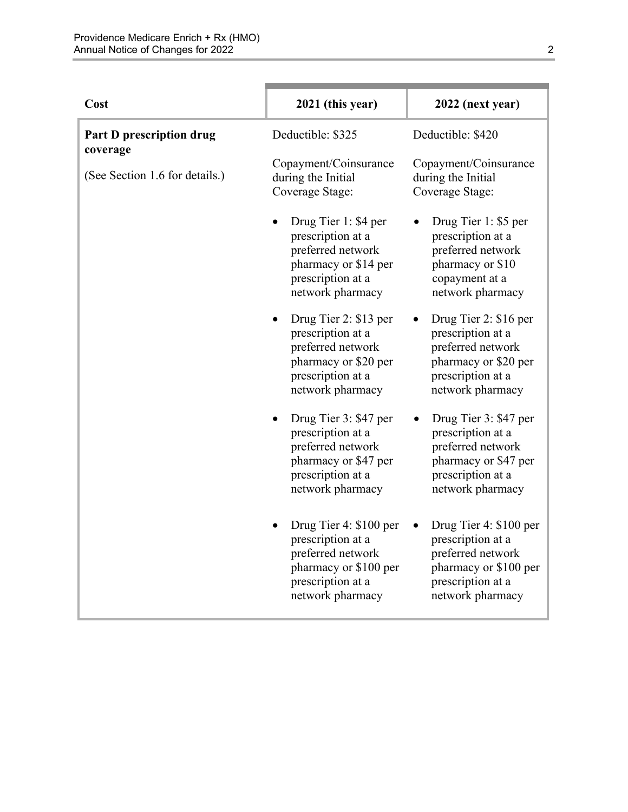| Cost                                 | 2021 (this year)                                                                                                                   | 2022 (next year)                                                                                                                   |
|--------------------------------------|------------------------------------------------------------------------------------------------------------------------------------|------------------------------------------------------------------------------------------------------------------------------------|
| Part D prescription drug<br>coverage | Deductible: \$325                                                                                                                  | Deductible: \$420                                                                                                                  |
| (See Section 1.6 for details.)       | Copayment/Coinsurance<br>during the Initial<br>Coverage Stage:                                                                     | Copayment/Coinsurance<br>during the Initial<br>Coverage Stage:                                                                     |
|                                      | Drug Tier 1: \$4 per<br>prescription at a<br>preferred network<br>pharmacy or \$14 per<br>prescription at a<br>network pharmacy    | Drug Tier 1: \$5 per<br>prescription at a<br>preferred network<br>pharmacy or \$10<br>copayment at a<br>network pharmacy           |
|                                      | Drug Tier 2: \$13 per<br>prescription at a<br>preferred network<br>pharmacy or \$20 per<br>prescription at a<br>network pharmacy   | Drug Tier 2: \$16 per<br>prescription at a<br>preferred network<br>pharmacy or \$20 per<br>prescription at a<br>network pharmacy   |
|                                      | Drug Tier 3: \$47 per<br>prescription at a<br>preferred network<br>pharmacy or \$47 per<br>prescription at a<br>network pharmacy   | Drug Tier 3: \$47 per<br>prescription at a<br>preferred network<br>pharmacy or \$47 per<br>prescription at a<br>network pharmacy   |
|                                      | Drug Tier 4: \$100 per<br>prescription at a<br>preferred network<br>pharmacy or \$100 per<br>prescription at a<br>network pharmacy | Drug Tier 4: \$100 per<br>prescription at a<br>preferred network<br>pharmacy or \$100 per<br>prescription at a<br>network pharmacy |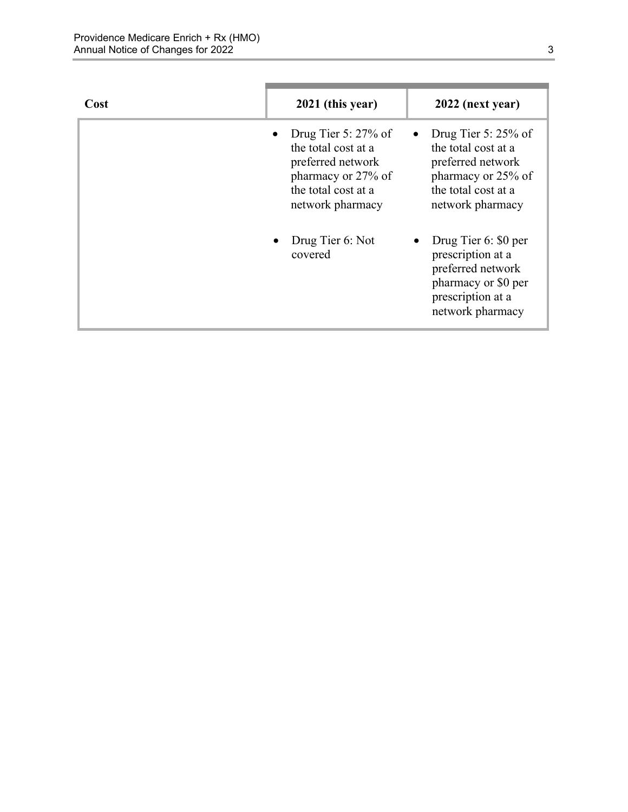| Cost | 2021 (this year)                                                                                                                    | 2022 (next year)                                                                                                                    |
|------|-------------------------------------------------------------------------------------------------------------------------------------|-------------------------------------------------------------------------------------------------------------------------------------|
|      | Drug Tier 5: $27\%$ of<br>the total cost at a<br>preferred network<br>pharmacy or 27% of<br>the total cost at a<br>network pharmacy | Drug Tier 5: $25\%$ of<br>the total cost at a<br>preferred network<br>pharmacy or 25% of<br>the total cost at a<br>network pharmacy |
|      | Drug Tier 6: Not<br>covered                                                                                                         | Drug Tier 6: \$0 per<br>prescription at a<br>preferred network<br>pharmacy or \$0 per<br>prescription at a<br>network pharmacy      |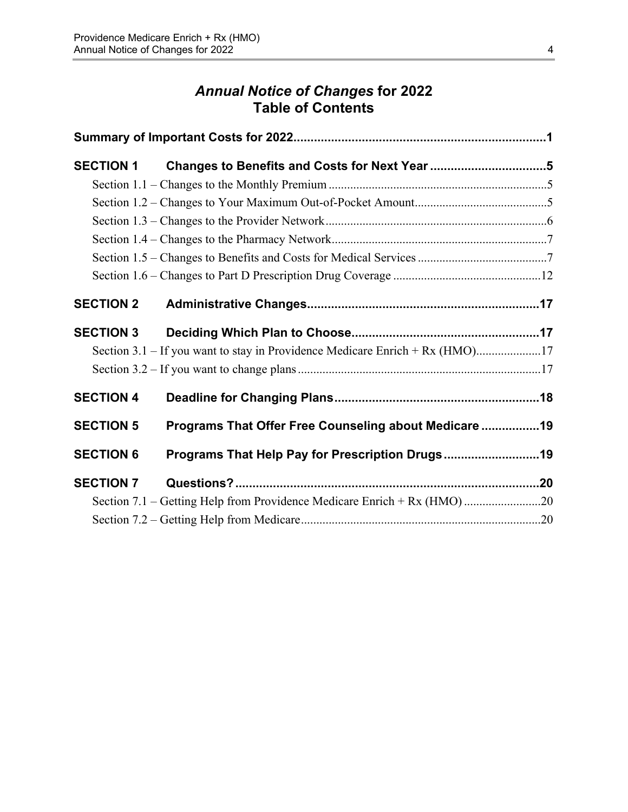# *Annual Notice of Changes* **for 2022 Table of Contents**

| <b>SECTION 1</b> | Changes to Benefits and Costs for Next Year 5         |  |
|------------------|-------------------------------------------------------|--|
|                  |                                                       |  |
|                  |                                                       |  |
|                  |                                                       |  |
|                  |                                                       |  |
|                  |                                                       |  |
|                  |                                                       |  |
| <b>SECTION 2</b> |                                                       |  |
| <b>SECTION 3</b> |                                                       |  |
|                  |                                                       |  |
|                  |                                                       |  |
| <b>SECTION 4</b> |                                                       |  |
| <b>SECTION 5</b> | Programs That Offer Free Counseling about Medicare 19 |  |
| <b>SECTION 6</b> | Programs That Help Pay for Prescription Drugs19       |  |
| <b>SECTION 7</b> |                                                       |  |
|                  |                                                       |  |
|                  |                                                       |  |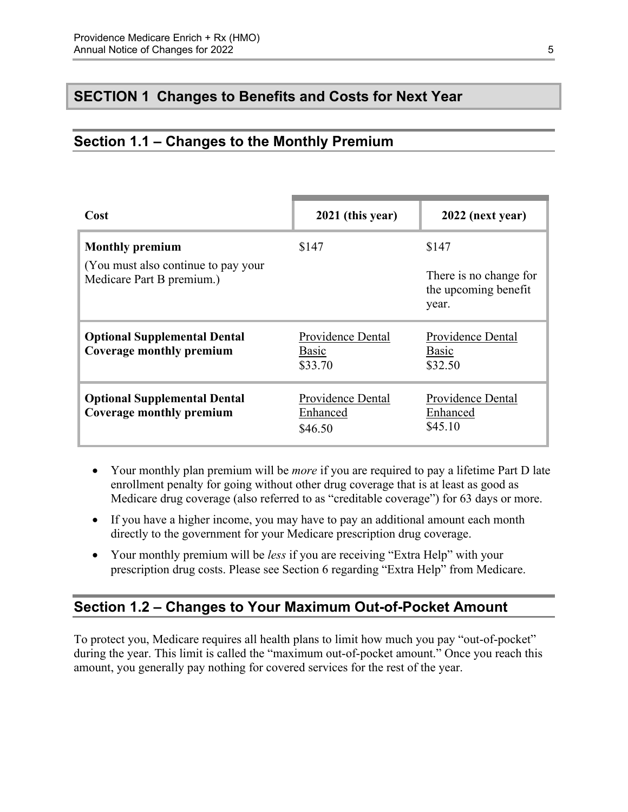## <span id="page-7-0"></span>**SECTION 1 Changes to Benefits and Costs for Next Year**

### <span id="page-7-1"></span>**Section 1.1 – Changes to the Monthly Premium**

| Cost                                                              | 2021 (this year)                         | 2022 (next year)                                        |
|-------------------------------------------------------------------|------------------------------------------|---------------------------------------------------------|
| <b>Monthly premium</b>                                            | \$147                                    | \$147                                                   |
| (You must also continue to pay your)<br>Medicare Part B premium.) |                                          | There is no change for<br>the upcoming benefit<br>year. |
| <b>Optional Supplemental Dental</b><br>Coverage monthly premium   | Providence Dental<br>Basic<br>\$33.70    | Providence Dental<br>Basic<br>\$32.50                   |
| <b>Optional Supplemental Dental</b><br>Coverage monthly premium   | Providence Dental<br>Enhanced<br>\$46.50 | Providence Dental<br>Enhanced<br>\$45.10                |

- Your monthly plan premium will be *more* if you are required to pay a lifetime Part D late enrollment penalty for going without other drug coverage that is at least as good as Medicare drug coverage (also referred to as "creditable coverage") for 63 days or more.
- If you have a higher income, you may have to pay an additional amount each month directly to the government for your Medicare prescription drug coverage.
- Your monthly premium will be *less* if you are receiving "Extra Help" with your prescription drug costs. Please see Section 6 regarding "Extra Help" from Medicare.

### <span id="page-7-2"></span>**Section 1.2 – Changes to Your Maximum Out-of-Pocket Amount**

 amount, you generally pay nothing for covered services for the rest of the year. To protect you, Medicare requires all health plans to limit how much you pay "out-of-pocket" during the year. This limit is called the "maximum out-of-pocket amount." Once you reach this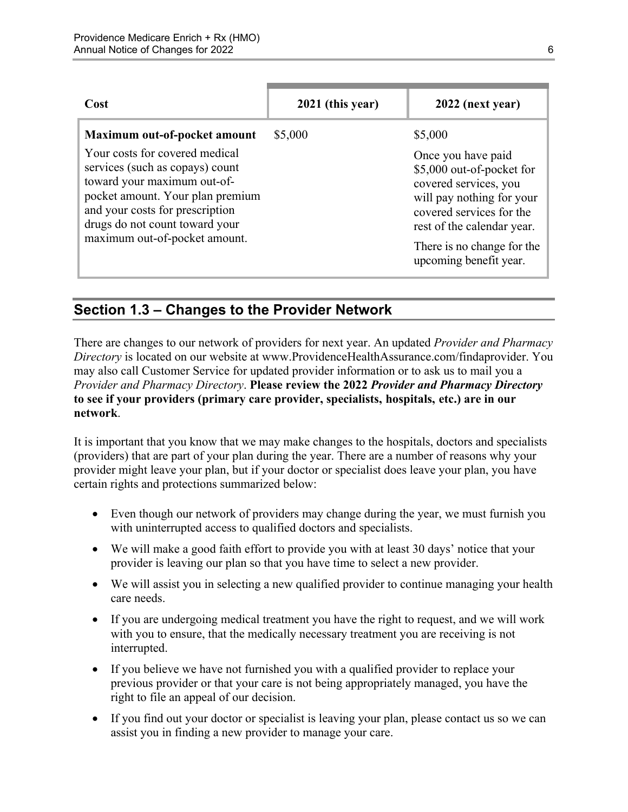| Cost                                                                                                                                                                                                                                      | 2021 (this year) | 2022 (next year)                                                                                                                                                           |
|-------------------------------------------------------------------------------------------------------------------------------------------------------------------------------------------------------------------------------------------|------------------|----------------------------------------------------------------------------------------------------------------------------------------------------------------------------|
| Maximum out-of-pocket amount<br>Your costs for covered medical<br>services (such as copays) count<br>toward your maximum out-of-<br>pocket amount. Your plan premium<br>and your costs for prescription<br>drugs do not count toward your | \$5,000          | \$5,000<br>Once you have paid<br>\$5,000 out-of-pocket for<br>covered services, you<br>will pay nothing for your<br>covered services for the<br>rest of the calendar year. |
| maximum out-of-pocket amount.                                                                                                                                                                                                             |                  | There is no change for the<br>upcoming benefit year.                                                                                                                       |

### <span id="page-8-0"></span>**Section 1.3 – Changes to the Provider Network**

 **to see if your providers (primary care provider, specialists, hospitals, etc.) are in our**  There are changes to our network of providers for next year. An updated *Provider and Pharmacy Directory* is located on our website at [www.ProvidenceHealthAssurance.com/findaprovider. Yo](http://www.ProvidenceHealthAssurance.com/findaprovider)u may also call Customer Service for updated provider information or to ask us to mail you a *Provider and Pharmacy Directory*. **Please review the 2022** *Provider and Pharmacy Directory*  **network**.

It is important that you know that we may make changes to the hospitals, doctors and specialists (providers) that are part of your plan during the year. There are a number of reasons why your provider might leave your plan, but if your doctor or specialist does leave your plan, you have certain rights and protections summarized below:

- Even though our network of providers may change during the year, we must furnish you with uninterrupted access to qualified doctors and specialists.
- We will make a good faith effort to provide you with at least 30 days' notice that your provider is leaving our plan so that you have time to select a new provider.
- We will assist you in selecting a new qualified provider to continue managing your health care needs.
- If you are undergoing medical treatment you have the right to request, and we will work with you to ensure, that the medically necessary treatment you are receiving is not interrupted.
- If you believe we have not furnished you with a qualified provider to replace your previous provider or that your care is not being appropriately managed, you have the right to file an appeal of our decision.
- If you find out your doctor or specialist is leaving your plan, please contact us so we can assist you in finding a new provider to manage your care.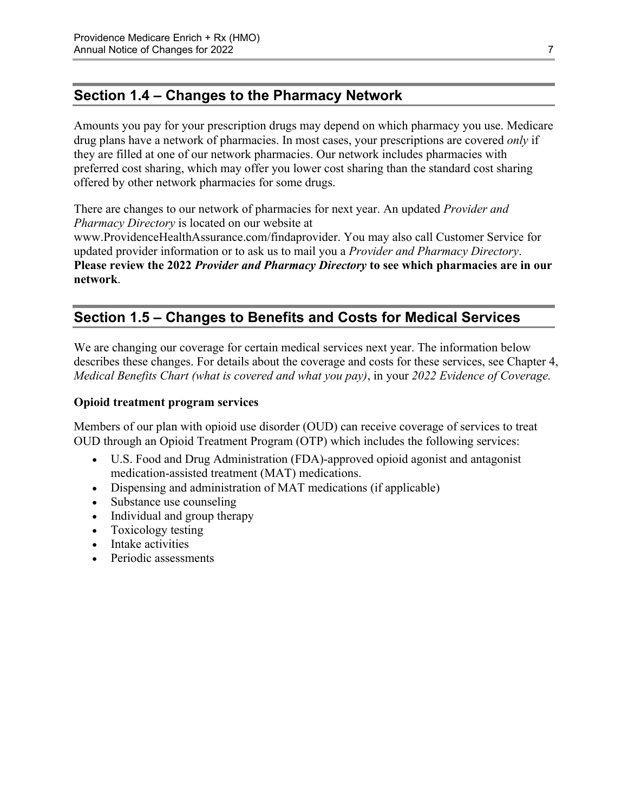## <span id="page-9-0"></span>**Section 1.4 – Changes to the Pharmacy Network**

Amounts you pay for your prescription drugs may depend on which pharmacy you use. Medicare drug plans have a network of pharmacies. In most cases, your prescriptions are covered *only* if they are filled at one of our network pharmacies. Our network includes pharmacies with preferred cost sharing, which may offer you lower cost sharing than the standard cost sharing offered by other network pharmacies for some drugs.

There are changes to our network of pharmacies for next year. An updated *Provider and Pharmacy Directory* is located on our website at [www.ProvidenceHealthAssurance.com/findaprovider. Yo](http://www.ProvidenceHealthAssurance.com/findaprovider)u may also call Customer Service for updated provider information or to ask us to mail you a *Provider and Pharmacy Directory*. **Please review the 2022** *Provider and Pharmacy Directory* **to see which pharmacies are in our** 

# **Section 1.5 – Changes to Benefits and Costs for Medical Services**

We are changing our coverage for certain medical services next year. The information below describes these changes. For details about the coverage and costs for these services, see Chapter 4, *Medical Benefits Chart (what is covered and what you pay)*, in your *2022 Evidence of Coverage.* 

#### **Opioid treatment program services**

<span id="page-9-1"></span>**network**.

Members of our plan with opioid use disorder (OUD) can receive coverage of services to treat OUD through an Opioid Treatment Program (OTP) which includes the following services:

- U.S. Food and Drug Administration (FDA)-approved opioid agonist and antagonist medication-assisted treatment (MAT) medications.
- Dispensing and administration of MAT medications (if applicable)
- Substance use counseling
- Individual and group therapy
- Toxicology testing
- Intake activities
- Periodic assessments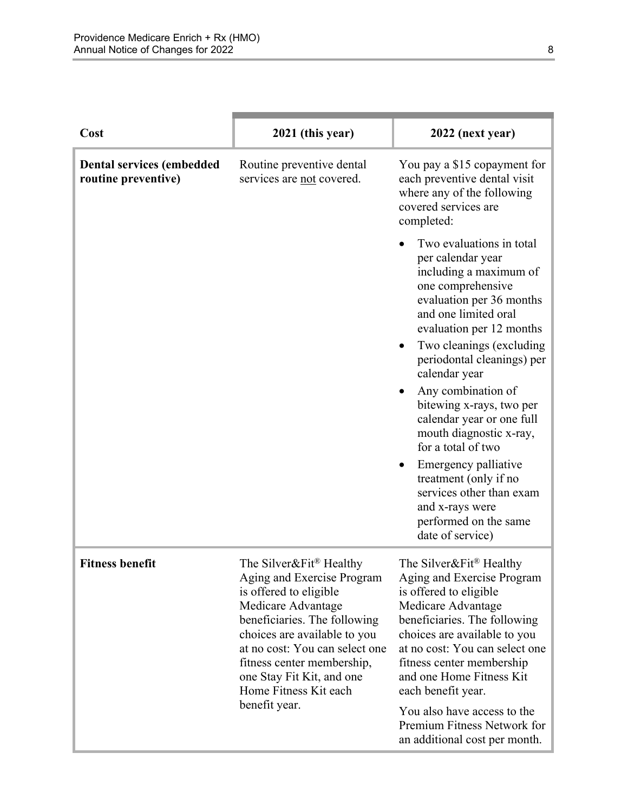| Cost                                                    | 2021 (this year)                                                                                                                                                                                                                                                                                        | 2022 (next year)                                                                                                                                                                                                                                                                       |
|---------------------------------------------------------|---------------------------------------------------------------------------------------------------------------------------------------------------------------------------------------------------------------------------------------------------------------------------------------------------------|----------------------------------------------------------------------------------------------------------------------------------------------------------------------------------------------------------------------------------------------------------------------------------------|
| <b>Dental services (embedded</b><br>routine preventive) | Routine preventive dental<br>services are not covered.                                                                                                                                                                                                                                                  | You pay a \$15 copayment for<br>each preventive dental visit<br>where any of the following<br>covered services are<br>completed:                                                                                                                                                       |
|                                                         |                                                                                                                                                                                                                                                                                                         | Two evaluations in total<br>per calendar year<br>including a maximum of<br>one comprehensive<br>evaluation per 36 months<br>and one limited oral<br>evaluation per 12 months<br>Two cleanings (excluding<br>$\bullet$<br>periodontal cleanings) per                                    |
|                                                         |                                                                                                                                                                                                                                                                                                         | calendar year<br>Any combination of<br>bitewing x-rays, two per<br>calendar year or one full<br>mouth diagnostic x-ray,<br>for a total of two                                                                                                                                          |
|                                                         |                                                                                                                                                                                                                                                                                                         | Emergency palliative<br>treatment (only if no<br>services other than exam<br>and x-rays were<br>performed on the same<br>date of service)                                                                                                                                              |
| <b>Fitness benefit</b>                                  | The Silver&Fit <sup>®</sup> Healthy<br>Aging and Exercise Program<br>is offered to eligible<br>Medicare Advantage<br>beneficiaries. The following<br>choices are available to you<br>at no cost: You can select one<br>fitness center membership,<br>one Stay Fit Kit, and one<br>Home Fitness Kit each | The Silver&Fit® Healthy<br>Aging and Exercise Program<br>is offered to eligible<br>Medicare Advantage<br>beneficiaries. The following<br>choices are available to you<br>at no cost: You can select one<br>fitness center membership<br>and one Home Fitness Kit<br>each benefit year. |
|                                                         | benefit year.                                                                                                                                                                                                                                                                                           | You also have access to the<br>Premium Fitness Network for<br>an additional cost per month.                                                                                                                                                                                            |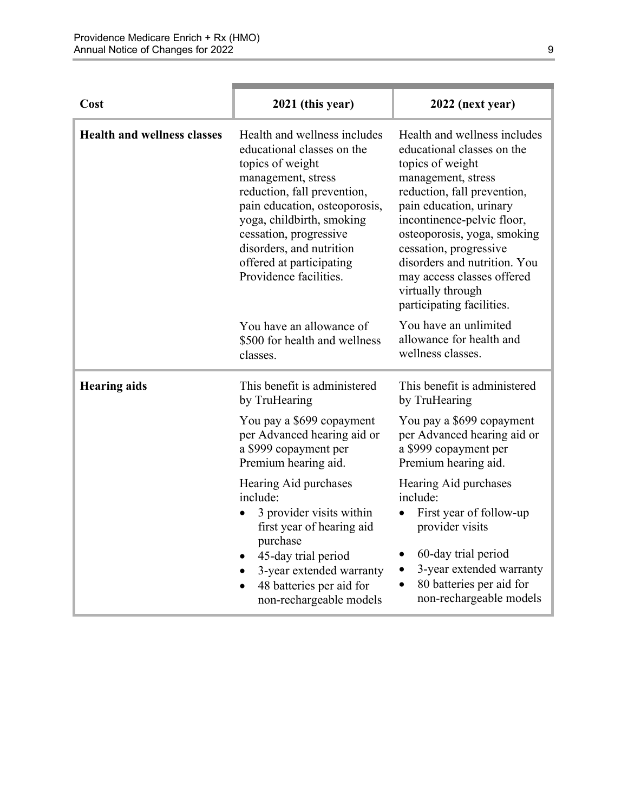| Cost                               | 2021 (this year)                                                                                                                                                                                                                                                                                              | 2022 (next year)                                                                                                                                                                                                                                                                                                                                                      |
|------------------------------------|---------------------------------------------------------------------------------------------------------------------------------------------------------------------------------------------------------------------------------------------------------------------------------------------------------------|-----------------------------------------------------------------------------------------------------------------------------------------------------------------------------------------------------------------------------------------------------------------------------------------------------------------------------------------------------------------------|
| <b>Health and wellness classes</b> | Health and wellness includes<br>educational classes on the<br>topics of weight<br>management, stress<br>reduction, fall prevention,<br>pain education, osteoporosis,<br>yoga, childbirth, smoking<br>cessation, progressive<br>disorders, and nutrition<br>offered at participating<br>Providence facilities. | Health and wellness includes<br>educational classes on the<br>topics of weight<br>management, stress<br>reduction, fall prevention,<br>pain education, urinary<br>incontinence-pelvic floor,<br>osteoporosis, yoga, smoking<br>cessation, progressive<br>disorders and nutrition. You<br>may access classes offered<br>virtually through<br>participating facilities. |
|                                    | You have an allowance of<br>\$500 for health and wellness<br>classes.                                                                                                                                                                                                                                         | You have an unlimited<br>allowance for health and<br>wellness classes.                                                                                                                                                                                                                                                                                                |
| <b>Hearing aids</b>                | This benefit is administered<br>by TruHearing                                                                                                                                                                                                                                                                 | This benefit is administered<br>by TruHearing                                                                                                                                                                                                                                                                                                                         |
|                                    | You pay a \$699 copayment<br>per Advanced hearing aid or<br>a \$999 copayment per<br>Premium hearing aid.                                                                                                                                                                                                     | You pay a \$699 copayment<br>per Advanced hearing aid or<br>a \$999 copayment per<br>Premium hearing aid.                                                                                                                                                                                                                                                             |
|                                    | Hearing Aid purchases<br>include:<br>3 provider visits within<br>$\bullet$<br>first year of hearing aid<br>purchase<br>45-day trial period<br>3-year extended warranty<br>$\bullet$<br>48 batteries per aid for<br>non-rechargeable models                                                                    | Hearing Aid purchases<br>include:<br>First year of follow-up<br>provider visits<br>60-day trial period<br>3-year extended warranty<br>$\bullet$<br>80 batteries per aid for<br>non-rechargeable models                                                                                                                                                                |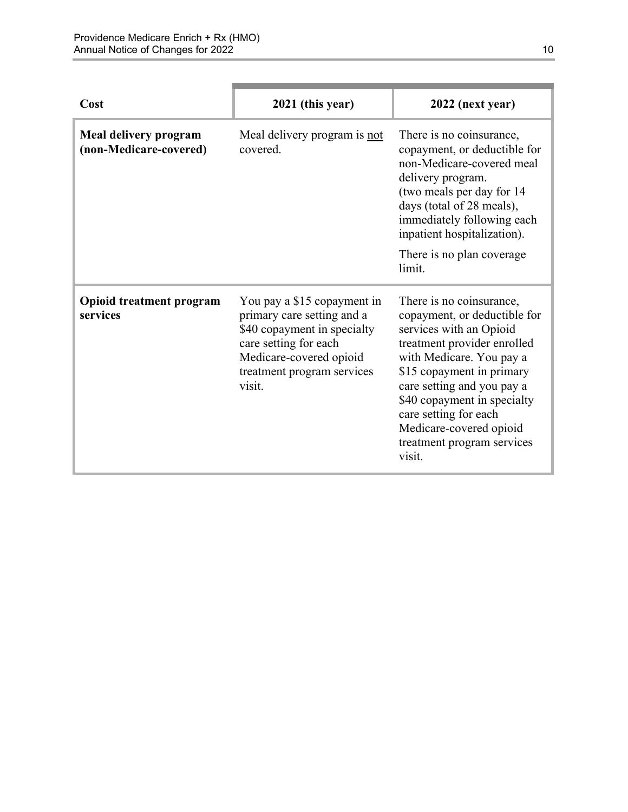| Cost                                            | 2021 (this year)                                                                                                                                                                     | 2022 (next year)                                                                                                                                                                                                                                                                                                                     |
|-------------------------------------------------|--------------------------------------------------------------------------------------------------------------------------------------------------------------------------------------|--------------------------------------------------------------------------------------------------------------------------------------------------------------------------------------------------------------------------------------------------------------------------------------------------------------------------------------|
| Meal delivery program<br>(non-Medicare-covered) | Meal delivery program is not<br>covered.                                                                                                                                             | There is no coinsurance,<br>copayment, or deductible for<br>non-Medicare-covered meal<br>delivery program.<br>(two meals per day for 14<br>days (total of 28 meals),<br>immediately following each<br>inpatient hospitalization).<br>There is no plan coverage<br>limit.                                                             |
| <b>Opioid treatment program</b><br>services     | You pay a \$15 copayment in<br>primary care setting and a<br>\$40 copayment in specialty<br>care setting for each<br>Medicare-covered opioid<br>treatment program services<br>visit. | There is no coinsurance,<br>copayment, or deductible for<br>services with an Opioid<br>treatment provider enrolled<br>with Medicare. You pay a<br>\$15 copayment in primary<br>care setting and you pay a<br>\$40 copayment in specialty<br>care setting for each<br>Medicare-covered opioid<br>treatment program services<br>visit. |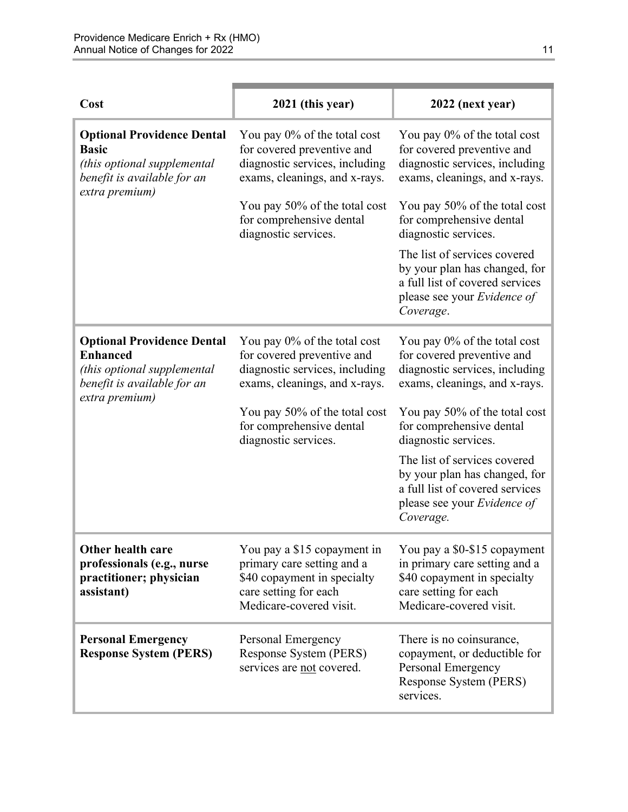| Cost                                                                                                                                 | 2021 (this year)                                                                                                                             | 2022 (next year)                                                                                                                                    |
|--------------------------------------------------------------------------------------------------------------------------------------|----------------------------------------------------------------------------------------------------------------------------------------------|-----------------------------------------------------------------------------------------------------------------------------------------------------|
| <b>Optional Providence Dental</b><br><b>Basic</b><br>(this optional supplemental<br>benefit is available for an<br>extra premium)    | You pay 0% of the total cost<br>for covered preventive and<br>diagnostic services, including<br>exams, cleanings, and x-rays.                | You pay 0% of the total cost<br>for covered preventive and<br>diagnostic services, including<br>exams, cleanings, and x-rays.                       |
|                                                                                                                                      | You pay 50% of the total cost<br>for comprehensive dental<br>diagnostic services.                                                            | You pay 50% of the total cost<br>for comprehensive dental<br>diagnostic services.                                                                   |
|                                                                                                                                      |                                                                                                                                              | The list of services covered<br>by your plan has changed, for<br>a full list of covered services<br>please see your Evidence of<br>Coverage.        |
| <b>Optional Providence Dental</b><br><b>Enhanced</b><br>(this optional supplemental<br>benefit is available for an<br>extra premium) | You pay 0% of the total cost<br>for covered preventive and<br>diagnostic services, including<br>exams, cleanings, and x-rays.                | You pay 0% of the total cost<br>for covered preventive and<br>diagnostic services, including<br>exams, cleanings, and x-rays.                       |
|                                                                                                                                      | You pay 50% of the total cost<br>for comprehensive dental<br>diagnostic services.                                                            | You pay 50% of the total cost<br>for comprehensive dental<br>diagnostic services.                                                                   |
|                                                                                                                                      |                                                                                                                                              | The list of services covered<br>by your plan has changed, for<br>a full list of covered services<br>please see your <i>Evidence of</i><br>Coverage. |
| Other health care<br>professionals (e.g., nurse<br>practitioner; physician<br>assistant)                                             | You pay a \$15 copayment in<br>primary care setting and a<br>\$40 copayment in specialty<br>care setting for each<br>Medicare-covered visit. | You pay a \$0-\$15 copayment<br>in primary care setting and a<br>\$40 copayment in specialty<br>care setting for each<br>Medicare-covered visit.    |
| <b>Personal Emergency</b><br><b>Response System (PERS)</b>                                                                           | Personal Emergency<br>Response System (PERS)<br>services are not covered.                                                                    | There is no coinsurance,<br>copayment, or deductible for<br>Personal Emergency<br>Response System (PERS)<br>services.                               |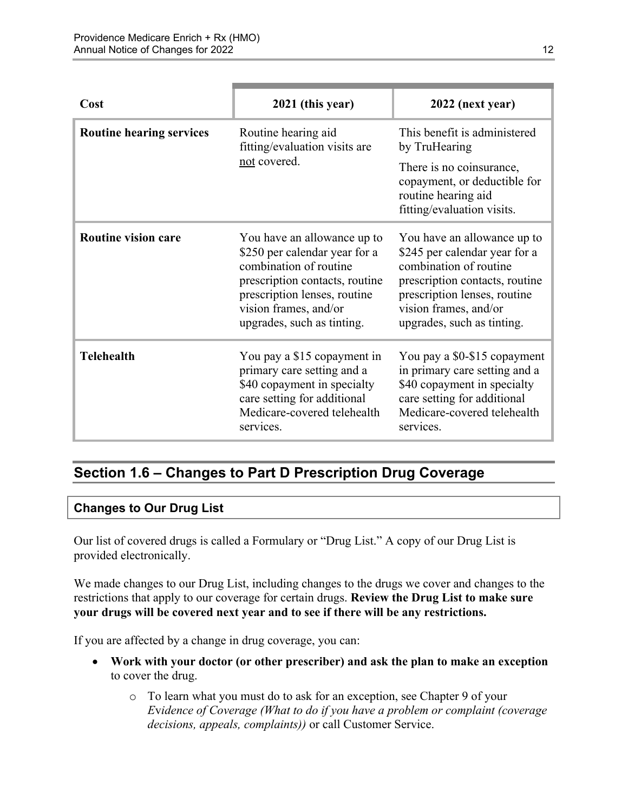| Cost                            | 2021 (this year)                                                                                                                                                                                                | 2022 (next year)                                                                                                                                                                                                |
|---------------------------------|-----------------------------------------------------------------------------------------------------------------------------------------------------------------------------------------------------------------|-----------------------------------------------------------------------------------------------------------------------------------------------------------------------------------------------------------------|
| <b>Routine hearing services</b> | Routine hearing aid<br>fitting/evaluation visits are<br>not covered.                                                                                                                                            | This benefit is administered<br>by TruHearing                                                                                                                                                                   |
|                                 |                                                                                                                                                                                                                 | There is no coinsurance,<br>copayment, or deductible for<br>routine hearing aid<br>fitting/evaluation visits.                                                                                                   |
| <b>Routine vision care</b>      | You have an allowance up to<br>\$250 per calendar year for a<br>combination of routine<br>prescription contacts, routine<br>prescription lenses, routine<br>vision frames, and/or<br>upgrades, such as tinting. | You have an allowance up to<br>\$245 per calendar year for a<br>combination of routine<br>prescription contacts, routine<br>prescription lenses, routine<br>vision frames, and/or<br>upgrades, such as tinting. |
| <b>Telehealth</b>               | You pay a \$15 copayment in<br>primary care setting and a<br>\$40 copayment in specialty<br>care setting for additional<br>Medicare-covered telehealth<br>services.                                             | You pay a \$0-\$15 copayment<br>in primary care setting and a<br>\$40 copayment in specialty<br>care setting for additional<br>Medicare-covered telehealth<br>services.                                         |

# <span id="page-14-0"></span>**Section 1.6 – Changes to Part D Prescription Drug Coverage**

#### **Changes to Our Drug List**

Our list of covered drugs is called a Formulary or "Drug List." A copy of our Drug List is provided electronically.

We made changes to our Drug List, including changes to the drugs we cover and changes to the restrictions that apply to our coverage for certain drugs. **Review the Drug List to make sure your drugs will be covered next year and to see if there will be any restrictions.** 

If you are affected by a change in drug coverage, you can:

- **Work with your doctor (or other prescriber) and ask the plan to make an exception**  to cover the drug.
	- o To learn what you must do to ask for an exception, see Chapter 9 of your *E*v*idence of Coverage (What to do if you have a problem or complaint (coverage decisions, appeals, complaints))* or call Customer Service.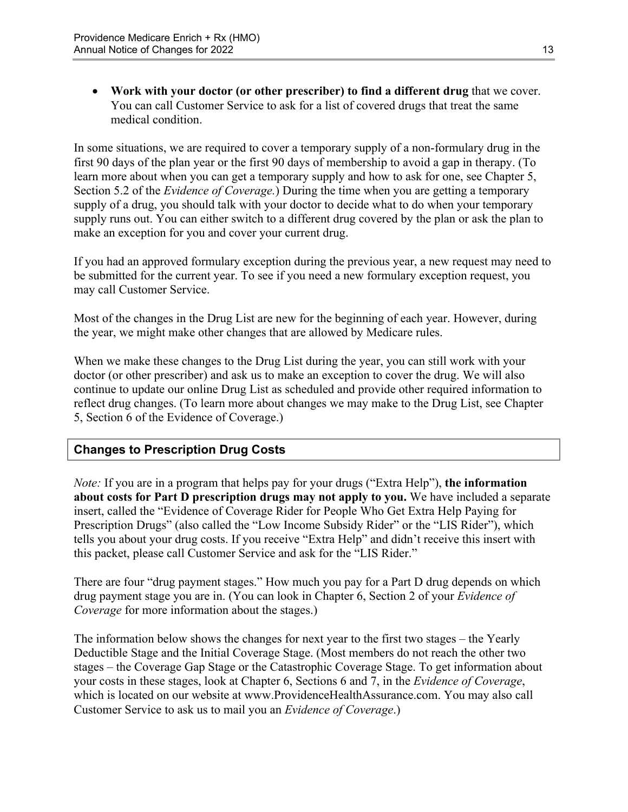**Work with your doctor (or other prescriber) to find a different drug** that we cover. You can call Customer Service to ask for a list of covered drugs that treat the same medical condition.

 Section 5.2 of the *Evidence of Coverage.*) During the time when you are getting a temporary In some situations, we are required to cover a temporary supply of a non-formulary drug in the first 90 days of the plan year or the first 90 days of membership to avoid a gap in therapy. (To learn more about when you can get a temporary supply and how to ask for one, see Chapter 5, supply of a drug, you should talk with your doctor to decide what to do when your temporary supply runs out. You can either switch to a different drug covered by the plan or ask the plan to make an exception for you and cover your current drug.

If you had an approved formulary exception during the previous year, a new request may need to be submitted for the current year. To see if you need a new formulary exception request, you may call Customer Service.

Most of the changes in the Drug List are new for the beginning of each year. However, during the year, we might make other changes that are allowed by Medicare rules.

When we make these changes to the Drug List during the year, you can still work with your doctor (or other prescriber) and ask us to make an exception to cover the drug. We will also continue to update our online Drug List as scheduled and provide other required information to reflect drug changes. (To learn more about changes we may make to the Drug List, see Chapter 5, Section 6 of the Evidence of Coverage.)

### **Changes to Prescription Drug Costs**

*Note:* If you are in a program that helps pay for your drugs ("Extra Help"), **the information about costs for Part D prescription drugs may not apply to you.** We have included a separate insert, called the "Evidence of Coverage Rider for People Who Get Extra Help Paying for Prescription Drugs" (also called the "Low Income Subsidy Rider" or the "LIS Rider"), which tells you about your drug costs. If you receive "Extra Help" and didn't receive this insert with this packet, please call Customer Service and ask for the "LIS Rider."

There are four "drug payment stages." How much you pay for a Part D drug depends on which drug payment stage you are in. (You can look in Chapter 6, Section 2 of your *Evidence of Coverage* for more information about the stages.)

The information below shows the changes for next year to the first two stages – the Yearly Deductible Stage and the Initial Coverage Stage. (Most members do not reach the other two stages – the Coverage Gap Stage or the Catastrophic Coverage Stage. To get information about your costs in these stages, look at Chapter 6, Sections 6 and 7, in the *Evidence of Coverage*, which is located on our website at [www.ProvidenceHealthAssurance.com. Yo](http://www.ProvidenceHealthAssurance.com)u may also call Customer Service to ask us to mail you an *Evidence of Coverage*.)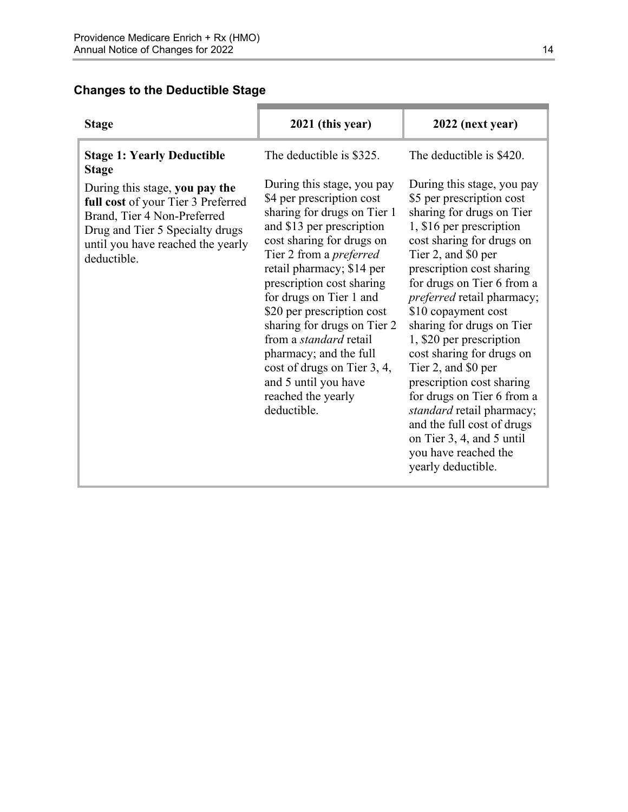### **Changes to the Deductible Stage**

| <b>Stage</b>                                                                                                                                                                                                                                    | 2021 (this year)                                                                                                                                                                                                                                                                                                                  | 2022 (next year)                                                                                                                                                                                                                                                                                                 |
|-------------------------------------------------------------------------------------------------------------------------------------------------------------------------------------------------------------------------------------------------|-----------------------------------------------------------------------------------------------------------------------------------------------------------------------------------------------------------------------------------------------------------------------------------------------------------------------------------|------------------------------------------------------------------------------------------------------------------------------------------------------------------------------------------------------------------------------------------------------------------------------------------------------------------|
| <b>Stage 1: Yearly Deductible</b><br><b>Stage</b><br>During this stage, you pay the<br>full cost of your Tier 3 Preferred<br>Brand, Tier 4 Non-Preferred<br>Drug and Tier 5 Specialty drugs<br>until you have reached the yearly<br>deductible. | The deductible is \$325.<br>During this stage, you pay<br>\$4 per prescription cost<br>sharing for drugs on Tier 1<br>and \$13 per prescription<br>cost sharing for drugs on<br>Tier 2 from a <i>preferred</i><br>retail pharmacy; \$14 per<br>prescription cost sharing<br>for drugs on Tier 1 and<br>\$20 per prescription cost | The deductible is \$420.<br>During this stage, you pay<br>\$5 per prescription cost<br>sharing for drugs on Tier<br>1, \$16 per prescription<br>cost sharing for drugs on<br>Tier 2, and \$0 per<br>prescription cost sharing<br>for drugs on Tier 6 from a<br>preferred retail pharmacy;<br>\$10 copayment cost |
|                                                                                                                                                                                                                                                 | sharing for drugs on Tier 2<br>from a <i>standard</i> retail<br>pharmacy; and the full<br>cost of drugs on Tier 3, 4,<br>and 5 until you have<br>reached the yearly<br>deductible.                                                                                                                                                | sharing for drugs on Tier<br>1, \$20 per prescription<br>cost sharing for drugs on<br>Tier 2, and \$0 per<br>prescription cost sharing<br>for drugs on Tier 6 from a<br>standard retail pharmacy;<br>and the full cost of drugs<br>on Tier 3, 4, and 5 until<br>you have reached the<br>yearly deductible.       |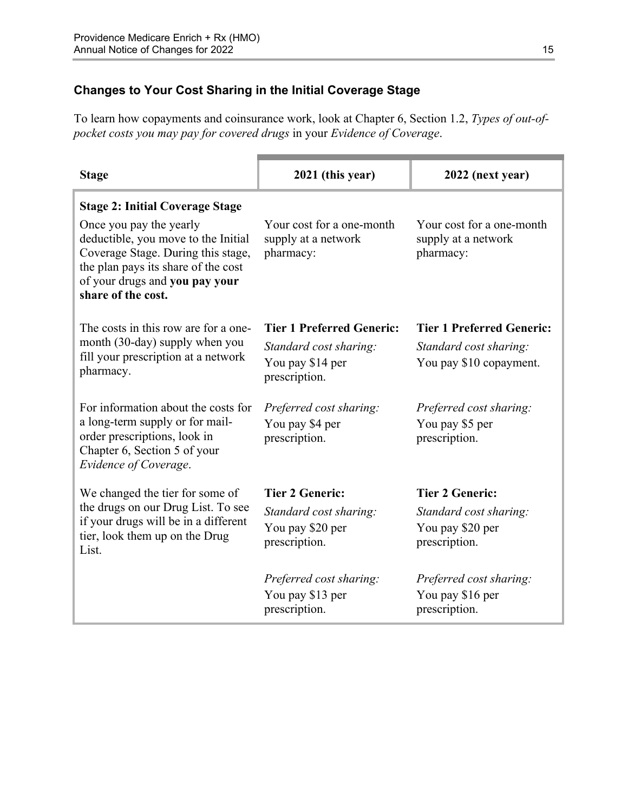### **Changes to Your Cost Sharing in the Initial Coverage Stage**

To learn how copayments and coinsurance work, look at Chapter 6, Section 1.2, *Types of out-ofpocket costs you may pay for covered drugs* in your *Evidence of Coverage*.

| <b>Stage</b>                                                                                                                                                                                                                                  | 2021 (this year)                                                                                | 2022 (next year)                                                                      |
|-----------------------------------------------------------------------------------------------------------------------------------------------------------------------------------------------------------------------------------------------|-------------------------------------------------------------------------------------------------|---------------------------------------------------------------------------------------|
| <b>Stage 2: Initial Coverage Stage</b><br>Once you pay the yearly<br>deductible, you move to the Initial<br>Coverage Stage. During this stage,<br>the plan pays its share of the cost<br>of your drugs and you pay your<br>share of the cost. | Your cost for a one-month<br>supply at a network<br>pharmacy:                                   | Your cost for a one-month<br>supply at a network<br>pharmacy:                         |
| The costs in this row are for a one-<br>month (30-day) supply when you<br>fill your prescription at a network<br>pharmacy.                                                                                                                    | <b>Tier 1 Preferred Generic:</b><br>Standard cost sharing:<br>You pay \$14 per<br>prescription. | <b>Tier 1 Preferred Generic:</b><br>Standard cost sharing:<br>You pay \$10 copayment. |
| For information about the costs for<br>a long-term supply or for mail-<br>order prescriptions, look in<br>Chapter 6, Section 5 of your<br>Evidence of Coverage.                                                                               | Preferred cost sharing:<br>You pay \$4 per<br>prescription.                                     | Preferred cost sharing:<br>You pay \$5 per<br>prescription.                           |
| We changed the tier for some of<br>the drugs on our Drug List. To see<br>if your drugs will be in a different<br>tier, look them up on the Drug<br>List.                                                                                      | <b>Tier 2 Generic:</b><br>Standard cost sharing:<br>You pay \$20 per<br>prescription.           | <b>Tier 2 Generic:</b><br>Standard cost sharing:<br>You pay \$20 per<br>prescription. |
|                                                                                                                                                                                                                                               | Preferred cost sharing:<br>You pay \$13 per<br>prescription.                                    | Preferred cost sharing:<br>You pay \$16 per<br>prescription.                          |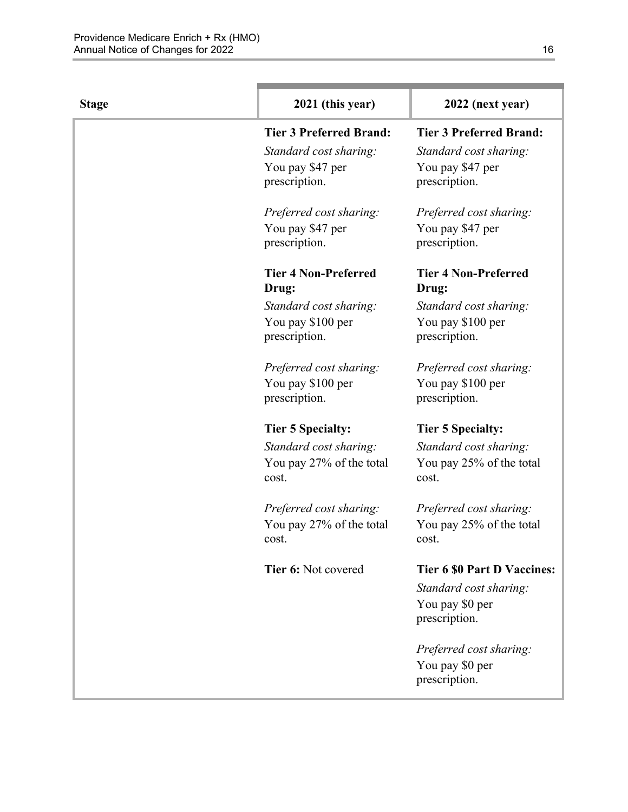| <b>Stage</b> | 2021 (this year)                     | 2022 (next year)                     |
|--------------|--------------------------------------|--------------------------------------|
|              | <b>Tier 3 Preferred Brand:</b>       | <b>Tier 3 Preferred Brand:</b>       |
|              | Standard cost sharing:               | Standard cost sharing:               |
|              | You pay \$47 per                     | You pay \$47 per                     |
|              | prescription.                        | prescription.                        |
|              | Preferred cost sharing:              | Preferred cost sharing:              |
|              | You pay \$47 per                     | You pay \$47 per                     |
|              | prescription.                        | prescription.                        |
|              | <b>Tier 4 Non-Preferred</b><br>Drug: | <b>Tier 4 Non-Preferred</b><br>Drug: |
|              | Standard cost sharing:               | Standard cost sharing:               |
|              | You pay \$100 per<br>prescription.   | You pay \$100 per<br>prescription.   |
|              | Preferred cost sharing:              | Preferred cost sharing:              |
|              | You pay \$100 per                    | You pay \$100 per                    |
|              | prescription.                        | prescription.                        |
|              | <b>Tier 5 Specialty:</b>             | <b>Tier 5 Specialty:</b>             |
|              | Standard cost sharing:               | Standard cost sharing:               |
|              | You pay 27% of the total<br>cost.    | You pay 25% of the total<br>cost.    |
|              | Preferred cost sharing:              | Preferred cost sharing:              |
|              | You pay 27% of the total<br>cost.    | You pay 25% of the total<br>cost.    |
|              | Tier 6: Not covered                  | <b>Tier 6 \$0 Part D Vaccines:</b>   |
|              |                                      | Standard cost sharing:               |
|              |                                      | You pay \$0 per<br>prescription.     |
|              |                                      | Preferred cost sharing:              |
|              |                                      | You pay \$0 per                      |
|              |                                      | prescription.                        |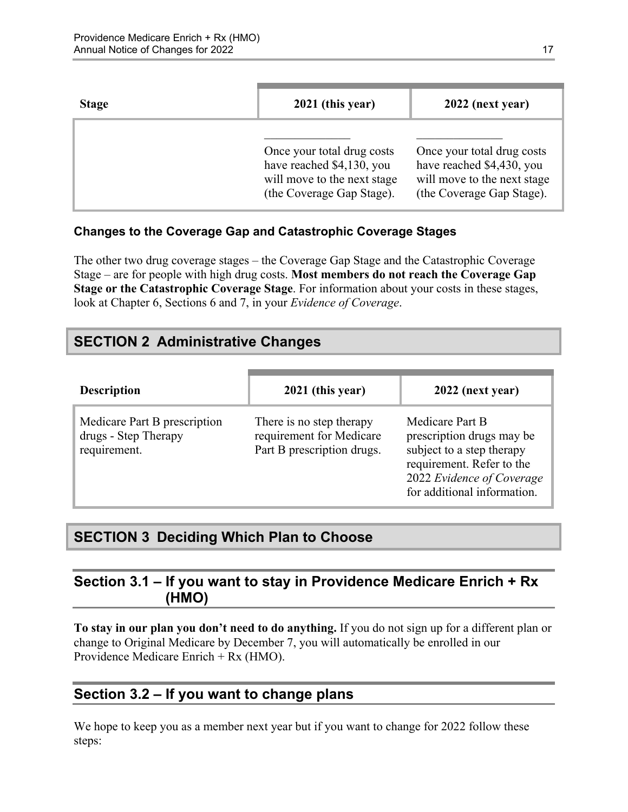| <b>Stage</b> | 2021 (this year)                                                                                                    | 2022 (next year)                                                                                                    |
|--------------|---------------------------------------------------------------------------------------------------------------------|---------------------------------------------------------------------------------------------------------------------|
|              | Once your total drug costs<br>have reached \$4,130, you<br>will move to the next stage<br>(the Coverage Gap Stage). | Once your total drug costs<br>have reached \$4,430, you<br>will move to the next stage<br>(the Coverage Gap Stage). |

### **Changes to the Coverage Gap and Catastrophic Coverage Stages**

The other two drug coverage stages – the Coverage Gap Stage and the Catastrophic Coverage Stage – are for people with high drug costs. **Most members do not reach the Coverage Gap Stage or the Catastrophic Coverage Stage**. For information about your costs in these stages, look at Chapter 6, Sections 6 and 7, in your *Evidence of Coverage*.

# <span id="page-19-0"></span>**SECTION 2 Administrative Changes**

| <b>Description</b>                                                   | 2021 (this year)                                                                   | 2022 (next year)                                                                                                                                                   |
|----------------------------------------------------------------------|------------------------------------------------------------------------------------|--------------------------------------------------------------------------------------------------------------------------------------------------------------------|
| Medicare Part B prescription<br>drugs - Step Therapy<br>requirement. | There is no step therapy<br>requirement for Medicare<br>Part B prescription drugs. | Medicare Part B<br>prescription drugs may be<br>subject to a step therapy<br>requirement. Refer to the<br>2022 Evidence of Coverage<br>for additional information. |

# <span id="page-19-1"></span>**SECTION 3 Deciding Which Plan to Choose**

### <span id="page-19-2"></span>**Section 3.1 – If you want to stay in Providence Medicare Enrich + Rx (HMO)**

**To stay in our plan you don't need to do anything.** If you do not sign up for a different plan or change to Original Medicare by December 7, you will automatically be enrolled in our Providence Medicare Enrich + Rx (HMO).

# <span id="page-19-3"></span>**Section 3.2 – If you want to change plans**

We hope to keep you as a member next year but if you want to change for 2022 follow these steps: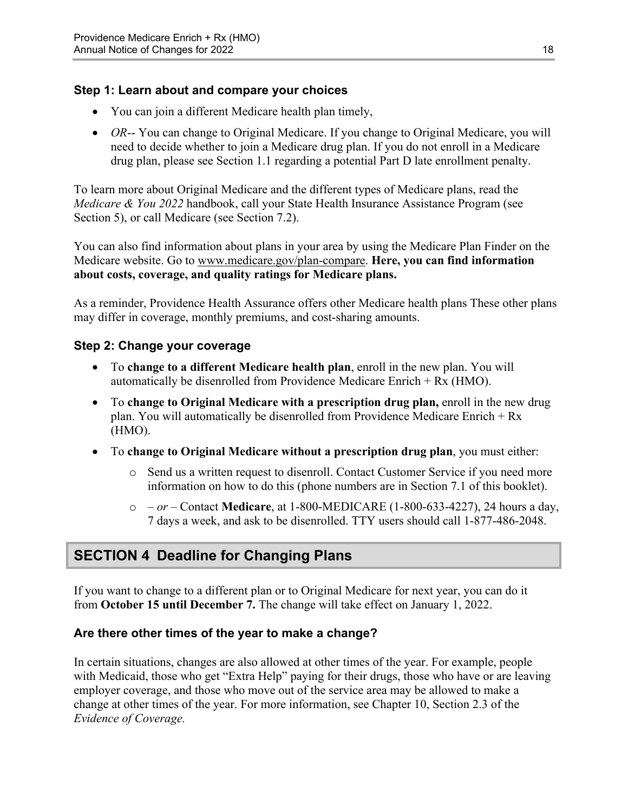### **Step 1: Learn about and compare your choices**

- You can join a different Medicare health plan timely,
- *OR*-- You can change to Original Medicare. If you change to Original Medicare, you will need to decide whether to join a Medicare drug plan. If you do not enroll in a Medicare drug plan, please see Section 1.1 regarding a potential Part D late enrollment penalty.

To learn more about Original Medicare and the different types of Medicare plans, read the *Medicare & You 2022* handbook, call your State Health Insurance Assistance Program (see Section 5), or call Medicare (see Section 7.2).

You can also find information about plans in your area by using the Medicare Plan Finder on the Medicare website. Go to [www.medicare.gov/plan-compare](http://www.medicare.gov/plan-compare). **Here, you can find information about costs, coverage, and quality ratings for Medicare plans.** 

As a reminder, Providence Health Assurance offers other Medicare health plans These other plans may differ in coverage, monthly premiums, and cost-sharing amounts.

### **Step 2: Change your coverage**

- To **change to a different Medicare health plan**, enroll in the new plan. You will automatically be disenrolled from Providence Medicare Enrich + Rx (HMO).
- To **change to Original Medicare with a prescription drug plan,** enroll in the new drug plan. You will automatically be disenrolled from Providence Medicare Enrich + Rx (HMO).
- To **change to Original Medicare without a prescription drug plan**, you must either:
	- o Send us a written request to disenroll. Contact Customer Service if you need more information on how to do this (phone numbers are in Section 7.1 of this booklet).
	- o  *or –* Contact **Medicare**, at 1-800-MEDICARE (1-800-633-4227), 24 hours a day, 7 days a week, and ask to be disenrolled. TTY users should call 1-877-486-2048.

# <span id="page-20-0"></span>**SECTION 4 Deadline for Changing Plans**

If you want to change to a different plan or to Original Medicare for next year, you can do it from **October 15 until December 7.** The change will take effect on January 1, 2022.

#### **Are there other times of the year to make a change?**

In certain situations, changes are also allowed at other times of the year. For example, people with Medicaid, those who get "Extra Help" paying for their drugs, those who have or are leaving employer coverage, and those who move out of the service area may be allowed to make a change at other times of the year. For more information, see Chapter 10, Section 2.3 of the *Evidence of Coverage.*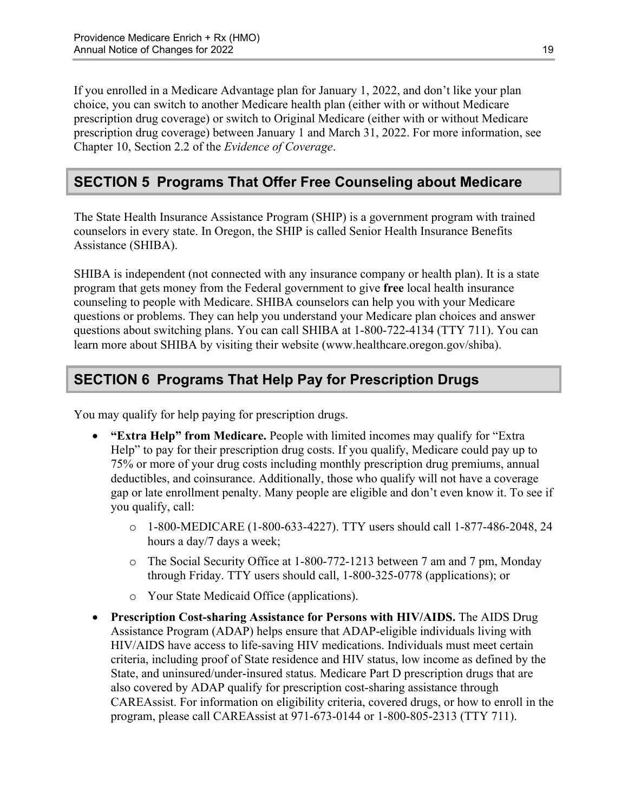Chapter 10, Section 2.2 of the *Evidence of Coverage*. If you enrolled in a Medicare Advantage plan for January 1, 2022, and don't like your plan choice, you can switch to another Medicare health plan (either with or without Medicare prescription drug coverage) or switch to Original Medicare (either with or without Medicare prescription drug coverage) between January 1 and March 31, 2022. For more information, see

# <span id="page-21-0"></span>**SECTION 5 Programs That Offer Free Counseling about Medicare**

The State Health Insurance Assistance Program (SHIP) is a government program with trained counselors in every state. In Oregon, the SHIP is called Senior Health Insurance Benefits Assistance (SHIBA).

 SHIBA is independent (not connected with any insurance company or health plan). It is a state program that gets money from the Federal government to give **free** local health insurance counseling to people with Medicare. SHIBA counselors can help you with your Medicare questions or problems. They can help you understand your Medicare plan choices and answer questions about switching plans. You can call SHIBA at 1-800-722-4134 (TTY 711). You can learn more about SHIBA by visiting their website ([www.healthcare.oregon.gov/shiba\).](http://www.healthcare.oregon.gov/shiba) 

# <span id="page-21-1"></span>**SECTION 6 Programs That Help Pay for Prescription Drugs**

You may qualify for help paying for prescription drugs.

- **"Extra Help" from Medicare.** People with limited incomes may qualify for "Extra Help" to pay for their prescription drug costs. If you qualify, Medicare could pay up to 75% or more of your drug costs including monthly prescription drug premiums, annual deductibles, and coinsurance. Additionally, those who qualify will not have a coverage gap or late enrollment penalty. Many people are eligible and don't even know it. To see if you qualify, call:
	- o 1-800-MEDICARE (1-800-633-4227). TTY users should call 1-877-486-2048, 24 hours a day/7 days a week;
	- o The Social Security Office at 1-800-772-1213 between 7 am and 7 pm, Monday through Friday. TTY users should call, 1-800-325-0778 (applications); or
	- o Your State Medicaid Office (applications).
- **Prescription Cost-sharing Assistance for Persons with HIV/AIDS.** The AIDS Drug Assistance Program (ADAP) helps ensure that ADAP-eligible individuals living with HIV/AIDS have access to life-saving HIV medications. Individuals must meet certain criteria, including proof of State residence and HIV status, low income as defined by the State, and uninsured/under-insured status. Medicare Part D prescription drugs that are also covered by ADAP qualify for prescription cost-sharing assistance through CAREAssist. For information on eligibility criteria, covered drugs, or how to enroll in the program, please call CAREAssist at 971-673-0144 or 1-800-805-2313 (TTY 711).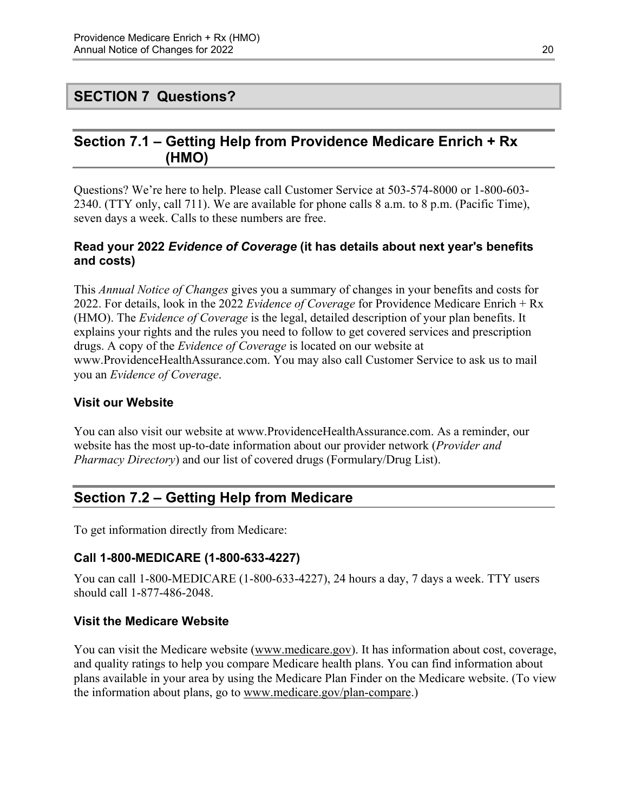### <span id="page-22-0"></span>**SECTION 7 Questions?**

### <span id="page-22-1"></span>**Section 7.1 – Getting Help from Providence Medicare Enrich + Rx (HMO)**

Questions? We're here to help. Please call Customer Service at 503-574-8000 or 1-800-603 2340. (TTY only, call 711). We are available for phone calls 8 a.m. to 8 p.m. (Pacific Time), seven days a week. Calls to these numbers are free.

#### **Read your 2022** *Evidence of Coverage* **(it has details about next year's benefits and costs)**

This *Annual Notice of Changes* gives you a summary of changes in your benefits and costs for 2022. For details, look in the 2022 *Evidence of Coverage* for Providence Medicare Enrich + Rx (HMO). The *Evidence of Coverage* is the legal, detailed description of your plan benefits. It explains your rights and the rules you need to follow to get covered services and prescription drugs. A copy of the *Evidence of Coverage* is located on our website at [www.ProvidenceHealthAssurance.com. Yo](http://www.ProvidenceHealthAssurance.com)u may also call Customer Service to ask us to mail you an *Evidence of Coverage*.

#### **Visit our Website**

You can also visit our website at [www.ProvidenceHealthAssurance.com. As](http://www.ProvidenceHealthAssurance.com) a reminder, our website has the most up-to-date information about our provider network (*Provider and Pharmacy Directory*) and our list of covered drugs (Formulary/Drug List).

# <span id="page-22-2"></span>**Section 7.2 – Getting Help from Medicare**

To get information directly from Medicare:

#### **Call 1-800-MEDICARE (1-800-633-4227)**

You can call 1-800-MEDICARE (1-800-633-4227), 24 hours a day, 7 days a week. TTY users should call 1-877-486-2048.

#### **Visit the Medicare Website**

You can visit the Medicare website ([www.medicare.gov\)](http://www.medicare.gov/). It has information about cost, coverage, and quality ratings to help you compare Medicare health plans. You can find information about plans available in your area by using the Medicare Plan Finder on the Medicare website. (To view the information about plans, go to [www.medicare.gov/plan-compare.](http://www.medicare.gov/plan-compare))